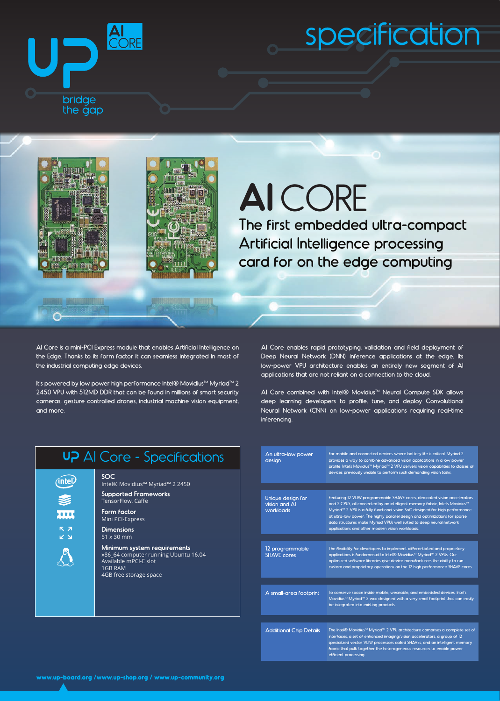

## specification





**Alexandria** 

## **AI** CORE

The first embedded ultra-compact Artificial Intelligence processing card for on the edge computing

AI Core is a mini-PCI Express module that enables Artificial Intelligence on the Edge. Thanks to its form factor it can seamless integrated in most of the industrial computing edge devices.

It's powered by low power high performance Intel® Movidius™ Myriad™ 2 2450 VPU with 512MD DDR that can be found in millions of smart security cameras, gesture controlled drones, industrial machine vision equipment, and more.

AI Core enables rapid prototyping, validation and field deployment of Deep Neural Network (DNN) inference applications at the edge. Its low-power VPU architecture enables an entirely new segment of AI applications that are not reliant on a connection to the cloud.

AI Core combined with Intel® Movidius™ Neural Compute SDK allows deep learning developers to profile, tune, and deploy Convolutional Neural Network (CNN) on low-power applications requiring real-time inferencing.

| <b>P</b> Al Core - Specifications                |  |
|--------------------------------------------------|--|
| SOC.<br>Intel® Movidius™ Myriad™ 2 2450          |  |
| <b>Supported Frameworks</b><br>TensorFlow, Caffe |  |
| Form factor                                      |  |

Mini PCI-Express **Dimensions** 51 x 30 mm

 $\overline{U}$ 

(inte

**Minimum system requirements** x86\_64 computer running Ubuntu 16.04 Available mPCI-E slot 1GB RAM 4GB free storage space

| An ultra-low power<br>design                    | For mobile and connected devices where battery life is critical, Myriad 2<br>provides a way to combine advanced vision applications in a low power<br>profile. Intel's Movidius™ Myriad™ 2 VPU delivers vision capabilities to classes of<br>devices previously unable to perform such demanding vision tasks.                                                                                                                                                 |  |  |
|-------------------------------------------------|----------------------------------------------------------------------------------------------------------------------------------------------------------------------------------------------------------------------------------------------------------------------------------------------------------------------------------------------------------------------------------------------------------------------------------------------------------------|--|--|
|                                                 |                                                                                                                                                                                                                                                                                                                                                                                                                                                                |  |  |
| Unique design for<br>vision and Al<br>workloads | Featuring 12 VLIW programmable SHAVE cores, dedicated vision accelerators<br>and 2 CPUS, all connected by an intelligent memory fabric, Intel's Movidius™<br>Myriad <sup>™</sup> 2 VPU is a fully functional vision SoC designed for high performance<br>at ultra-low power. The highly parallel design and optimizations for sparse<br>data structures make Myriad VPUs well suited to deep neural network<br>applications and other modern vision workloads. |  |  |
|                                                 |                                                                                                                                                                                                                                                                                                                                                                                                                                                                |  |  |
| 12 programmable<br><b>SHAVE cores</b>           | The flexibility for developers to implement differentiated and proprietary<br>applications is fundamental to Intel® Movidius™ Myriad™ 2 VPUs. Our<br>optimized software libraries give device manufacturers the ability to run<br>custom and proprietary operations on the 12 high performance SHAVE cores.                                                                                                                                                    |  |  |
|                                                 |                                                                                                                                                                                                                                                                                                                                                                                                                                                                |  |  |
| A small-area footprint                          | To conserve space inside mobile, wearable, and embedded devices, Intel's<br>Movidius <sup>™</sup> Myriad <sup>™</sup> 2 was designed with a very small footprint that can easily<br>be integrated into existing products.                                                                                                                                                                                                                                      |  |  |
|                                                 |                                                                                                                                                                                                                                                                                                                                                                                                                                                                |  |  |
| <b>Additional Chip Details</b>                  | The Intel® Movidius™ Myriad™ 2 VPU architecture comprises a complete set of<br>interfaces, a set of enhanced imaging/vision accelerators, a group of 12<br>specialized vector VLIW processors called SHAVEs, and an intelligent memory<br>fabric that pulls together the heterogeneous resources to enable power<br>efficient processing.                                                                                                                      |  |  |